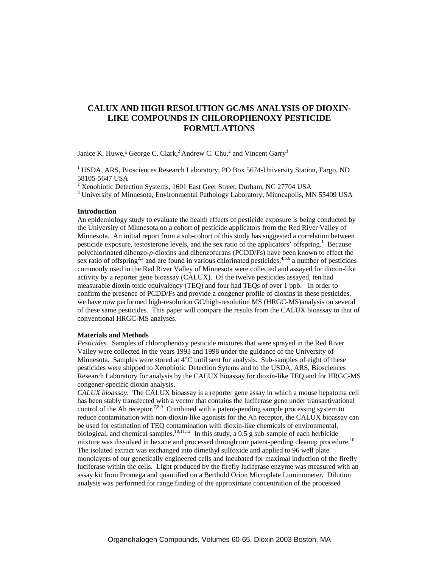# **CALUX AND HIGH RESOLUTION GC/MS ANALYSIS OF DIOXIN-LIKE COMPOUNDS IN CHLOROPHENOXY PESTICIDE FORMULATIONS**

Janice K. Huwe,  $^{1}$  George C. Clark,  $^{2}$  Andrew C. Chu,  $^{2}$  and Vincent Garry<sup>3</sup>

<sup>1</sup> USDA, ARS, Biosciences Research Laboratory, PO Box 5674-University Station, Fargo, ND 58105-5647 USA

 $2^2$  Xenobiotic Detection Systems, 1601 East Geer Street, Durham, NC 27704 USA

<sup>3</sup> University of Minnesota, Environmental Pathology Laboratory, Minneapolis, MN 55409 USA

#### **Introduction**

An epidemiology study to evaluate the health effects of pesticide exposure is being conducted by the University of Minnesota on a cohort of pesticide applicators from the Red River Valley of Minnesota. An initial report from a sub-cohort of this study has suggested a correlation between pesticide exposure, testosterone levels, and the sex ratio of the applicators' offspring.<sup>1</sup> Because polychlorinated dibenzo-*p*-dioxins and dibenzofurans (PCDD/Fs) have been known to effect the sex ratio of offspring<sup>2,3</sup> and are found in various chlorinated pesticides,<sup>4,5,6</sup> a number of pesticides commonly used in the Red River Valley of Minnesota were collected and assayed for dioxin-like activity by a reporter gene bioassay (CALUX). Of the twelve pesticides assayed, ten had measurable dioxin toxic equivalency (TEQ) and four had TEQs of over 1 ppb.<sup>1</sup> In order to confirm the presence of PCDD/Fs and provide a congener profile of dioxins in these pesticides, we have now performed high-resolution GC/high-resolution MS (HRGC-MS)analysis on several of these same pesticides. This paper will compare the results from the CALUX bioassay to that of conventional HRGC-MS analyses.

### **Materials and Methods**

*Pesticides.* Samples of chlorophenoxy pesticide mixtures that were sprayed in the Red River Valley were collected in the years 1993 and 1998 under the guidance of the University of Minnesota. Samples were stored at  $4^{\circ}$ C until sent for analysis. Sub-samples of eight of these pesticides were shipped to Xenobiotic Detection Sytems and to the USDA, ARS, Biosciences Research Laboratory for analysis by the CALUX bioassay for dioxin-like TEQ and for HRGC-MS congener-specific dioxin analysis.

*CALUX bioassay.* The CALUX bioassay is a reporter gene assay in which a mouse hepatoma cell has been stably transfected with a vector that contains the luciferase gene under transactivational control of the Ah receptor.<sup>7,8,9</sup> Combined with a patent-pending sample processing system to reduce contamination with non-dioxin-like agonists for the Ah receptor, the CALUX bioassay can be used for estimation of TEQ contamination with dioxin-like chemicals of environmental, biological, and chemical samples.<sup>10,11,12</sup> In this study, a 0.5 g sub-sample of each herbicide mixture was dissolved in hexane and processed through our patent-pending cleanup procedure.<sup>10</sup> The isolated extract was exchanged into dimethyl sulfoxide and applied to 96 well plate monolayers of our genetically engineered cells and incubated for maximal induction of the firefly luciferase within the cells. Light produced by the firefly luciferase enzyme was measured with an assay kit from Promega and quantified on a Berthold Orion Microplate Luminometer. Dilution analysis was performed for range finding of the approximate concentration of the processed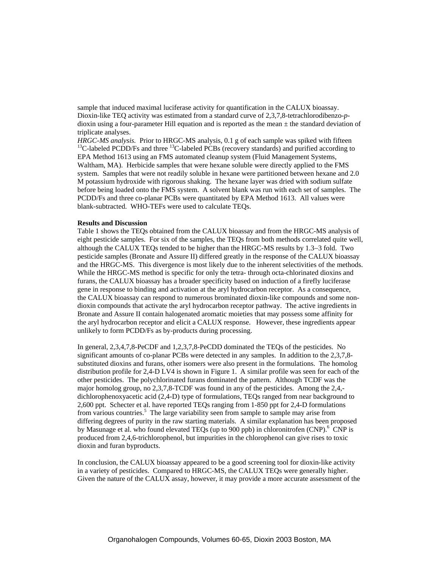sample that induced maximal luciferase activity for quantification in the CALUX bioassay. Dioxin-like TEQ activity was estimated from a standard curve of 2,3,7,8-tetrachlorodibenzo-*p*dioxin using a four-parameter Hill equation and is reported as the mean  $\pm$  the standard deviation of triplicate analyses.

*HRGC-MS analysis.* Prior to HRGC-MS analysis, 0.1 g of each sample was spiked with fifteen <sup>13</sup>C-labeled PCDD/Fs and three <sup>13</sup>C-labeled PCBs (recovery standards) and purified according to EPA Method 1613 using an FMS automated cleanup system (Fluid Management Systems, Waltham, MA). Herbicide samples that were hexane soluble were directly applied to the FMS system. Samples that were not readily soluble in hexane were partitioned between hexane and 2.0 M potassium hydroxide with rigorous shaking. The hexane layer was dried with sodium sulfate before being loaded onto the FMS system. A solvent blank was run with each set of samples. The PCDD/Fs and three co-planar PCBs were quantitated by EPA Method 1613. All values were blank-subtracted. WHO-TEFs were used to calculate TEQs.

#### **Results and Discussion**

Table 1 shows the TEQs obtained from the CALUX bioassay and from the HRGC-MS analysis of eight pesticide samples. For six of the samples, the TEQs from both methods correlated quite well, although the CALUX TEQs tended to be higher than the HRGC-MS results by 1.3−3 fold. Two pesticide samples (Bronate and Assure II) differed greatly in the response of the CALUX bioassay and the HRGC-MS. This divergence is most likely due to the inherent selectivities of the methods. While the HRGC-MS method is specific for only the tetra- through octa-chlorinated dioxins and furans, the CALUX bioassay has a broader specificity based on induction of a firefly luciferase gene in response to binding and activation at the aryl hydrocarbon receptor. As a consequence, the CALUX bioassay can respond to numerous brominated dioxin-like compounds and some nondioxin compounds that activate the aryl hydrocarbon receptor pathway. The active ingredients in Bronate and Assure II contain halogenated aromatic moieties that may possess some affinity for the aryl hydrocarbon receptor and elicit a CALUX response. However, these ingredients appear unlikely to form PCDD/Fs as by-products during processing.

In general, 2,3,4,7,8-PeCDF and 1,2,3,7,8-PeCDD dominated the TEQs of the pesticides. No significant amounts of co-planar PCBs were detected in any samples. In addition to the 2,3,7,8 substituted dioxins and furans, other isomers were also present in the formulations. The homolog distribution profile for 2,4-D LV4 is shown in Figure 1. A similar profile was seen for each of the other pesticides. The polychlorinated furans dominated the pattern. Although TCDF was the major homolog group, no 2,3,7,8-TCDF was found in any of the pesticides. Among the 2,4, dichlorophenoxyacetic acid (2,4-D) type of formulations, TEQs ranged from near background to 2,600 ppt. Schecter et al. have reported TEQs ranging from 1-850 ppt for 2,4-D formulations from various countries.<sup>5</sup> The large variability seen from sample to sample may arise from differing degrees of purity in the raw starting materials. A similar explanation has been proposed by Masunage et al. who found elevated TEQs (up to 900 ppb) in chloronitrofen (CNP).<sup>6</sup> CNP is produced from 2,4,6-trichlorophenol, but impurities in the chlorophenol can give rises to toxic dioxin and furan byproducts.

In conclusion, the CALUX bioassay appeared to be a good screening tool for dioxin-like activity in a variety of pesticides. Compared to HRGC-MS, the CALUX TEQs were generally higher. Given the nature of the CALUX assay, however, it may provide a more accurate assessment of the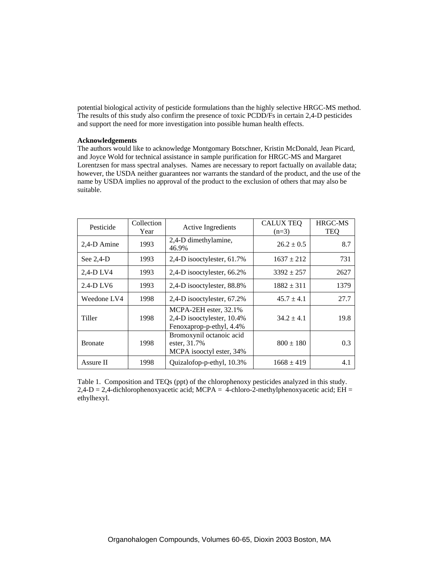potential biological activity of pesticide formulations than the highly selective HRGC-MS method. The results of this study also confirm the presence of toxic PCDD/Fs in certain 2,4-D pesticides and support the need for more investigation into possible human health effects.

### **Acknowledgements**

The authors would like to acknowledge Montgomary Botschner, Kristin McDonald, Jean Picard, and Joyce Wold for technical assistance in sample purification for HRGC-MS and Margaret Lorentzsen for mass spectral analyses. Names are necessary to report factually on available data; however, the USDA neither guarantees nor warrants the standard of the product, and the use of the name by USDA implies no approval of the product to the exclusion of others that may also be suitable.

| Pesticide      | Collection<br>Year | Active Ingredients                                                              | <b>CALUX TEQ</b><br>$(n=3)$ | <b>HRGC-MS</b><br><b>TEQ</b> |
|----------------|--------------------|---------------------------------------------------------------------------------|-----------------------------|------------------------------|
| 2,4-D Amine    | 1993               | 2,4-D dimethylamine,<br>46.9%                                                   | $26.2 \pm 0.5$              | 8.7                          |
| See $2,4$ -D   | 1993               | 2,4-D isooctylester, 61.7%                                                      | $1637 \pm 212$              | 731                          |
| 2,4-D LV4      | 1993               | 2,4-D isooctylester, 66.2%                                                      | $3392 \pm 257$              | 2627                         |
| $2.4-D LV6$    | 1993               | 2,4-D isooctylester, 88.8%                                                      | $1882 \pm 311$              | 1379                         |
| Weedone LV4    | 1998               | 2,4-D isooctylester, 67.2%                                                      | $45.7 \pm 4.1$              | 27.7                         |
| Tiller         | 1998               | MCPA-2EH ester, 32.1%<br>2,4-D isooctylester, 10.4%<br>Fenoxaprop-p-ethyl, 4.4% | $34.2 \pm 4.1$              | 19.8                         |
| <b>Bronate</b> | 1998               | Bromoxynil octanoic acid<br>ester, 31.7%<br>MCPA isooctyl ester, 34%            | $800 \pm 180$               | 0.3                          |
| Assure II      | 1998               | Quizalofop-p-ethyl, 10.3%                                                       | $1668 \pm 419$              | 4.1                          |

Table 1. Composition and TEQs (ppt) of the chlorophenoxy pesticides analyzed in this study.  $2,4-D = 2,4$ -dichlorophenoxyacetic acid; MCPA = 4-chloro-2-methylphenoxyacetic acid; EH = ethylhexyl.